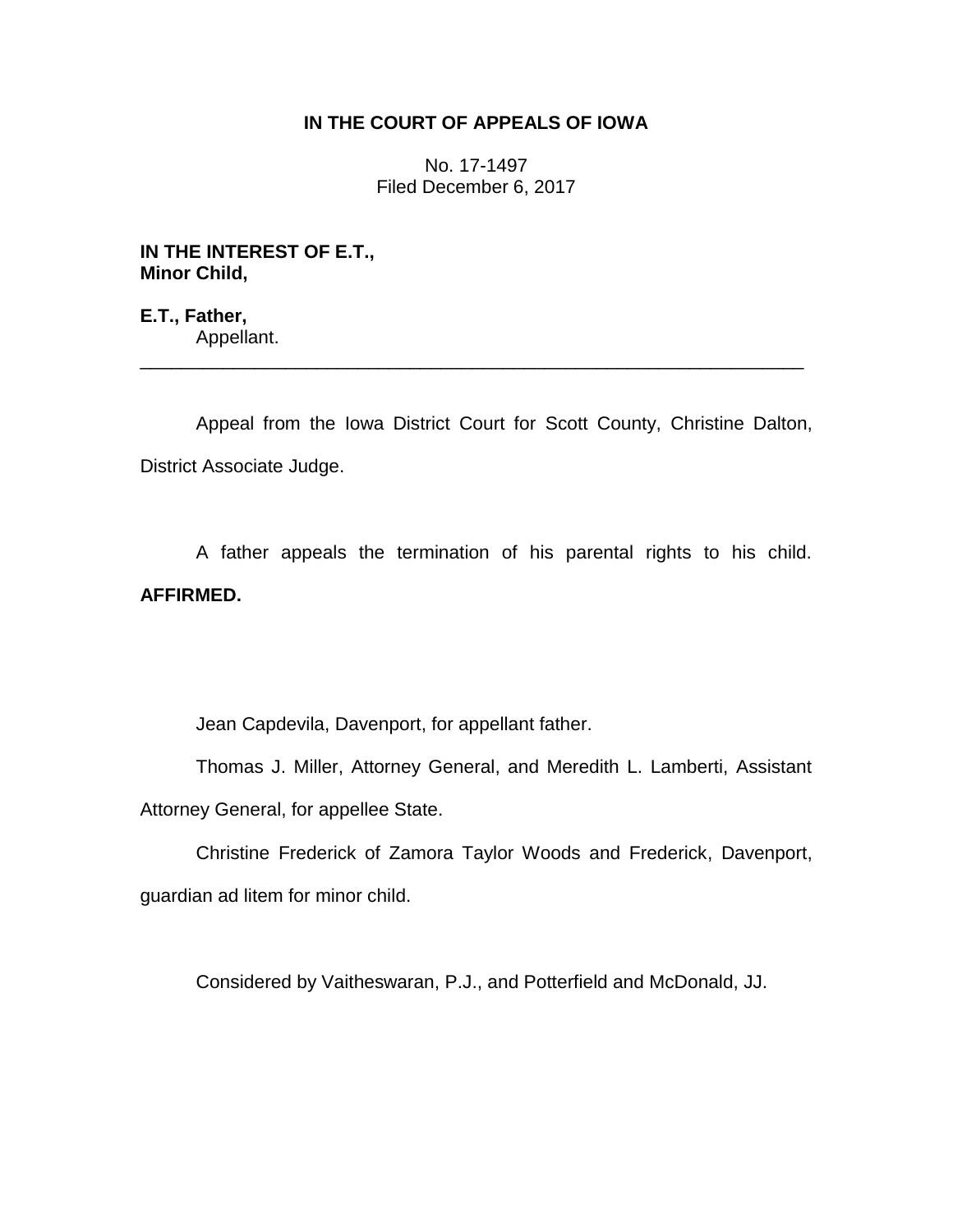## **IN THE COURT OF APPEALS OF IOWA**

No. 17-1497 Filed December 6, 2017

**IN THE INTEREST OF E.T., Minor Child,**

**E.T., Father,** Appellant. \_\_\_\_\_\_\_\_\_\_\_\_\_\_\_\_\_\_\_\_\_\_\_\_\_\_\_\_\_\_\_\_\_\_\_\_\_\_\_\_\_\_\_\_\_\_\_\_\_\_\_\_\_\_\_\_\_\_\_\_\_\_\_\_

Appeal from the Iowa District Court for Scott County, Christine Dalton, District Associate Judge.

A father appeals the termination of his parental rights to his child. **AFFIRMED.**

Jean Capdevila, Davenport, for appellant father.

Thomas J. Miller, Attorney General, and Meredith L. Lamberti, Assistant Attorney General, for appellee State.

Christine Frederick of Zamora Taylor Woods and Frederick, Davenport, guardian ad litem for minor child.

Considered by Vaitheswaran, P.J., and Potterfield and McDonald, JJ.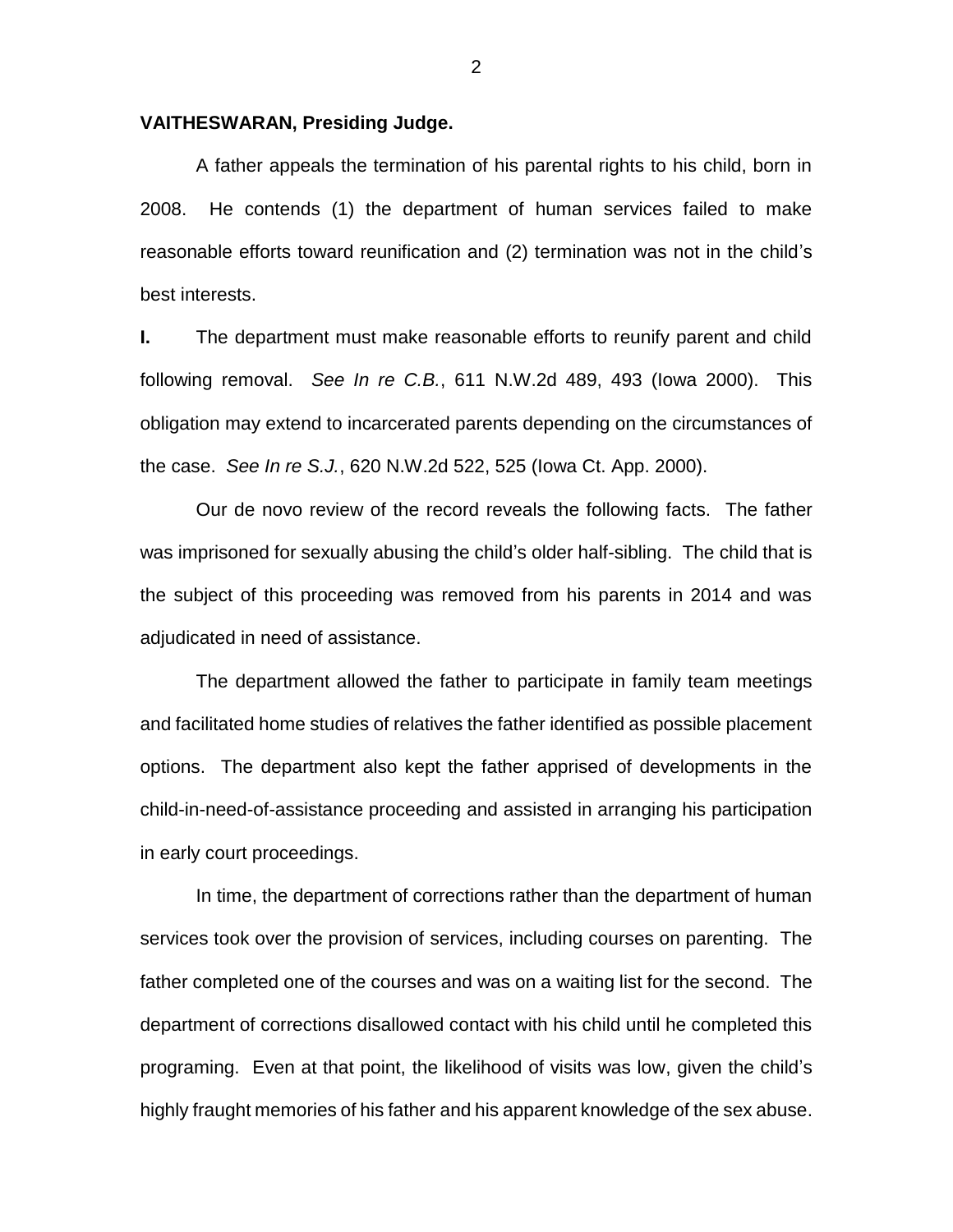## **VAITHESWARAN, Presiding Judge.**

A father appeals the termination of his parental rights to his child, born in 2008. He contends (1) the department of human services failed to make reasonable efforts toward reunification and (2) termination was not in the child's best interests.

**I.** The department must make reasonable efforts to reunify parent and child following removal. *See In re C.B.*, 611 N.W.2d 489, 493 (Iowa 2000). This obligation may extend to incarcerated parents depending on the circumstances of the case. *See In re S.J.*, 620 N.W.2d 522, 525 (Iowa Ct. App. 2000).

Our de novo review of the record reveals the following facts. The father was imprisoned for sexually abusing the child's older half-sibling. The child that is the subject of this proceeding was removed from his parents in 2014 and was adjudicated in need of assistance.

The department allowed the father to participate in family team meetings and facilitated home studies of relatives the father identified as possible placement options. The department also kept the father apprised of developments in the child-in-need-of-assistance proceeding and assisted in arranging his participation in early court proceedings.

In time, the department of corrections rather than the department of human services took over the provision of services, including courses on parenting. The father completed one of the courses and was on a waiting list for the second. The department of corrections disallowed contact with his child until he completed this programing. Even at that point, the likelihood of visits was low, given the child's highly fraught memories of his father and his apparent knowledge of the sex abuse.